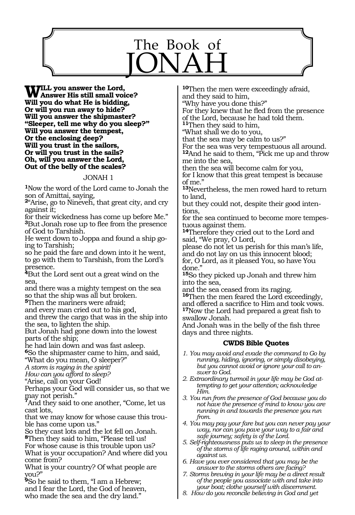

**Will you answer the Lord, Answer His still small voice? Will you do what He is bidding, Or will you run away to hide? Will you answer the shipmaster? "Sleeper, tell me why do you sleep?" Will you answer the tempest, Or the enclosing deep? Will you trust in the sailors, Or will you trust in the sails? Oh, will you answer the Lord, Out of the belly of the scales?**

#### JONAH 1

**<sup>1</sup>**Now the word of the Lord came to Jonah the son of Amittai, saying,

**<sup>2</sup>**"Arise, go to Nineveh, that great city, and cry against it;

for their wickedness has come up before Me." **<sup>3</sup>**But Jonah rose up to flee from the presence of God to Tarshish.

He went down to Joppa and found a ship going to Tarshish;

so he paid the fare and down into it he went, to go with them to Tarshish, from the Lord's presence.

**<sup>4</sup>**But the Lord sent out a great wind on the sea,

and there was a mighty tempest on the sea so that the ship was all but broken.

**<sup>5</sup>**Then the mariners were afraid;

and every man cried out to his god,

and threw the cargo that was in the ship into the sea, to lighten the ship.

But Jonah had gone down into the lowest parts of the ship;

he had lain down and was fast asleep.

**<sup>6</sup>**So the shipmaster came to him, and said, "What do you mean, O sleeper?"

*A storm is raging in the spirit!*

*How can you afford to sleep?* 

"Arise, call on your God!

Perhaps your God will consider us, so that we

may not perish." **<sup>7</sup>**And they said to one another, "Come, let us cast lots,

that we may know for whose cause this trouble has come upon us."

So they cast lots and the lot fell on Jonah. **<sup>8</sup>**Then they said to him, "Please tell us!

For whose cause is this trouble upon us?

What is your occupation? And where did you come from?

What is your country? Of what people are you?"

**<sup>9</sup>**So he said to them, "I am a Hebrew; and I fear the Lord, the God of heaven, who made the sea and the dry land."

**<sup>10</sup>**Then the men were exceedingly afraid, and they said to him, "Why have you done this?" For they knew that he fled from the presence of the Lord, because he had told them. **<sup>11</sup>**Then they said to him, "What shall we do to you, that the sea may be calm to us?" For the sea was very tempestuous all around.

**<sup>12</sup>**And he said to them, "Pick me up and throw me into the sea,

then the sea will become calm for you,

for I know that this great tempest is because of me."

**<sup>13</sup>**Nevertheless, the men rowed hard to return to land,

but they could not, despite their good intentions,

for the sea continued to become more tempestuous against them.

**<sup>14</sup>**Therefore they cried out to the Lord and said, "We pray, O Lord,

please do not let us perish for this man's life, and do not lay on us this innocent blood;

for, O Lord, as it pleased You, so have You done."

**<sup>15</sup>**So they picked up Jonah and threw him into the sea,

and the sea ceased from its raging.

**<sup>16</sup>**Then the men feared the Lord exceedingly, and offered a sacrifice to Him and took vows.

**<sup>17</sup>**Now the Lord had prepared a great fish to swallow Jonah.

And Jonah was in the belly of the fish three days and three nights.

#### **CWDS Bible Quotes**

- *1. You may avoid and evade the command to Go by running, hiding, ignoring, or simply disobeying, but you cannot avoid or ignore your call to answer to God.*
- *2. Extraordinary turmoil in your life may be God attempting to get your attention; acknowledge Him.*
- *3. You run from the presence of God because you do not have the presence of mind to know you are running in and towards the presence you run from.*
- *4. You may pay your fare but you can never pay your way, nor can you pave your way to a fair and safe journey; safety is of the Lord.*
- *5. Self-righteousness puts us to sleep in the presence of the storms of life raging around, within and against us.*
- *6. Have you ever considered that you may be the answer to the storms others are facing?*
- *7. Storms brewing in your life may be a direct result of the people you associate with and take into your boat; clothe yourself with discernment.*
- *8. How do you reconcile believing in God and yet*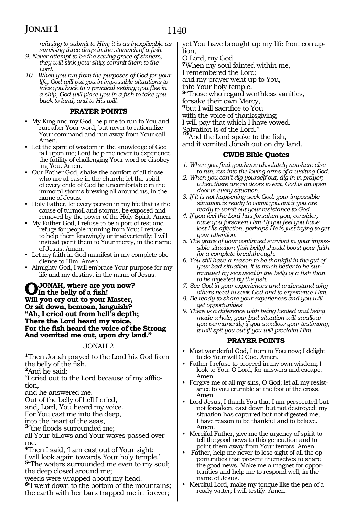## **JONAH 1**

1140

*refusing to submit to Him; it is as inexplicable as surviving three days in the stomach of a fish.*

- *9. Never attempt to be the saving grace of sinners, they will sink your ship; commit them to the Lord.*
- *10. When you run from the purposes of God for your life, God will put you in impossible situations to take you back to a practical setting; you flee in a ship, God will place you in a fish to take you back to land, and to His will.*

#### **PRAYER POINTS**

- My King and my God, help me to run to You and run after Your word, but never to rationalize Your command and run away from Your call. Amen.
- Let the spirit of wisdom in the knowledge of God fall upon me; Lord help me never to experience the futility of challenging Your word or disobeying You. Amen.
- Our Father God, shake the comfort of all those who are at ease in the church; let the spirit of every child of God be uncomfortable in the immoral storms brewing all around us, in the name of Jesus.
- Holy Father, let every person in my life that is the cause of turmoil and storms, be exposed and removed by the power of the Holy Spirit. Amen.
- My Father God, I refuse to be a port of rest and refuge for people running from You; I refuse to help them knowingly or inadvertently; I will instead point them to Your mercy, in the name of Jesus. Amen.
- Let my faith in God manifest in my complete obedience to Him. Amen.
- Almighty God, I will embrace Your purpose for my life and my destiny, in the name of Jesus.

**O Jonah, where are you now? In the belly of a fish! Will you cry out to your Master, Or sit down, bemoan, languish? "Ah, I cried out from hell's depth; There the Lord heard my voice, For the fish heard the voice of the Strong And vomited me out, upon dry land."**

#### JONAH 2

**<sup>1</sup>**Then Jonah prayed to the Lord his God from the belly of the fish.

**<sup>2</sup>**And he said:

"I cried out to the Lord because of my affliction,

and he answered me.

Out of the belly of hell I cried,

and, Lord, You heard my voice.

For You cast me into the deep,

into the heart of the seas,

**<sup>3</sup>**"the floods surrounded me;

all Your billows and Your waves passed over me.

**<sup>4</sup>**Then I said, 'I am cast out of Your sight; I will look again towards Your holy temple.' **<sup>5</sup>**"The waters surrounded me even to my soul; the deep closed around me;

weeds were wrapped about my head.

**<sup>6</sup>**"I went down to the bottom of the mountains; the earth with her bars trapped me in forever;

yet You have brought up my life from corruption,

- O Lord, my God.
- **<sup>7</sup>**When my soul fainted within me,
- I remembered the Lord;

and my prayer went up to You,

into Your holy temple.

**<sup>8</sup>**"Those who regard worthless vanities,

forsake their own Mercy,

**<sup>9</sup>**but I will sacrifice to You

with the voice of thanksgiving;

I will pay that which I have vowed.<br>Salvation is of the Lord."

And the Lord spoke to the fish,

and it vomited Jonah out on dry land.

#### **CWDS Bible Quotes**

- *1. When you find you have absolutely nowhere else to run, run into the loving arms of a waiting God.*
- *2. When you can't dig yourself out, dig-in in prayer; when there are no doors to exit, God is an open door in every situation.*
- *3. If it is not happening seek God; your impossible situation is ready to vomit you out if you are ready to vomit out your resistance to God.*
- *4. If you feel the Lord has forsaken you, consider, have you forsaken Him? If you feel you have lost His affection, perhaps He is just trying to get your attention.*
- *5. The grace of your continued survival in your impossible situation (fish belly) should boost your faith for a complete breakthrough.*
- *6. You still have a reason to be thankful in the gut of your bad situation. It is much better to be surrounded by seaweed in the belly of a fish than to be digested by the fish.*
- *7. See God in your experiences and understand why others need to seek God and to experience Him.*
- *8. Be ready to share your experiences and you will get opportunities.*
- *9. There is a difference with being healed and being made whole; your bad situation will swallow you permanently if you swallow your testimony; it will spit you out if you will proclaim Him.*

### **PRAYER POINTS**

- Most wonderful God, I turn to You now; I delight to do Your will O God. Amen.
- Father I refuse to proceed in my own wisdom; I look to You, O Lord, for answers and escape. Amen.
- Forgive me of all my sins, O God; let all my resistance to you crumble at the foot of the cross. Amen.
- Lord Jesus, I thank You that I am persecuted but not forsaken, cast down but not destroyed; my situation has captured but not digested me; I have reason to be thankful and to believe. Amen.
- Merciful Father, give me the urgency of spirit to tell the good news to this generation and to point them away from Your terrors. Amen.
- Father, help me never to lose sight of all the opportunities that present themselves to share the good news. Make me a magnet for opportunities and help me to respond well, in the name of Jesus.
- Merciful Lord, make my tongue like the pen of a ready writer; I will testify. Amen.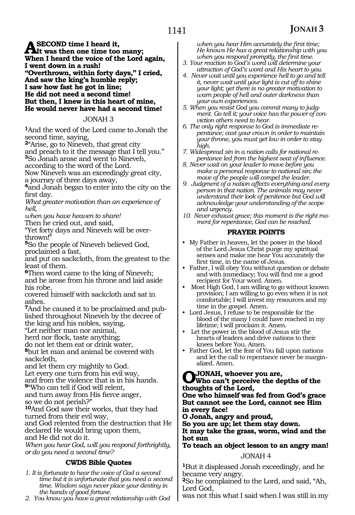# **JONAH 3**

**ASECOND time I heard it,<br>
When I heard the value of the Lard When I heard the voice of the Lord again, I went down in a rush! "Overthrown, within forty days," I cried, And saw the king's humble reply; I saw how fast he got in line; He did not need a second time! But then, I knew in this heart of mine, He would never have had a second time!**

#### JONAH 3

**<sup>1</sup>**And the word of the Lord came to Jonah the second time, saying,

**<sup>2</sup>**"Arise, go to Nineveh, that great city and preach to it the message that I tell you."

**<sup>3</sup>**So Jonah arose and went to Nineveh,

according to the word of the Lord.

Now Nineveh was an exceedingly great city, a journey of three days away,

**<sup>4</sup>**and Jonah began to enter into the city on the first day.

*What greater motivation than an experience of hell,* 

*when you have heaven to share!*

Then he cried out, and said,

"Yet forty days and Nineveh will be overthrown!

**<sup>5</sup>**So the people of Nineveh believed God, proclaimed a fast,

and put on sackcloth, from the greatest to the least of them.

**<sup>6</sup>**Then word came to the king of Nineveh; and he arose from his throne and laid aside his robe,

covered himself with sackcloth and sat in ashes.

**<sup>7</sup>**And he caused it to be proclaimed and pub- lished throughout Nineveh by the decree of the king and his nobles, saying,

"Let neither man nor animal,

herd nor flock, taste anything;

do not let them eat or drink water,

**<sup>8</sup>**but let man and animal be covered with sackcloth,

and let them cry mightily to God. Let every one turn from his evil way,

and from the violence that is in his hands.<br>**9**"Who can tell if God will relent,

and turn away from His fierce anger, so we do not perish?"

**<sup>10</sup>**And God saw their works, that they had turned from their evil way,

and God relented from the destruction that He declared He would bring upon them, and He did not do it.

*When you hear God, will you respond forthrightly, or do you need a second time?*

## **CWDS Bible Quotes**

- *1. It is fortunate to hear the voice of God a second time but it is unfortunate that you need a second time. Wisdom says never place your destiny in the hands of good fortune.*
- *2. You know you have a great relationship with God*

*when you hear Him accurately the first time; He knows He has a great relationship with you when you respond promptly, the first time.*

- *3. Your reaction to God's word will determine your attraction of God's word and His heart to you.*
- *4. Never wait until you experience hell to go and tell it, never wait until your light is cut off to shine your light; yet there is no greater motivation to warn people of hell and outer darkness than your own experiences.*
- *5. When you resist God you commit many to judgment. Go tell it; your voice has the power of conviction others need to hear.*
- *6. The only right response to God is immediate repentance; cast your crown in order to maintain your throne, you must get low in order to stay high.*
- *7. Widespread sin in a nation calls for national repentance led from the highest seat of influence.*
- *8. Never wait on your leader to move before you make a personal response to national sin; the move of the people will compel the leader.*
- *9. Judgment of a nation affects everything and every person in that nation. The animals may never understand their look of penitence but God will acknowledge your understanding of the scope and urgency.*
- *10. Never exhaust grace; this moment is the right moment for repentance, God can be reached.*

### **PRAYER POINTS**

- My Father in heaven, let the power in the blood of the Lord Jesus Christ purge my spiritual senses and make me hear You accurately the first time, in the name of Jesus.
- Father, I will obey You without question or debate and with immediacy; You will find me a good recipient for Your word. Amen.
- Most High God, I am willing to go without known provision; I am willing to go even when it is not comfortable; I will invest my resources and my time in the gospel. Amen.
- Lord Jesus, I refuse to be responsible for the blood of the many I could have reached in my lifetime; I will proclaim it. Amen.
- Let the power in the blood of Jesus stir the hearts of leaders and drive nations to their knees before You. Amen.
- Father God, let the fear of You fall upon nations and let the call to repentance never be marginalized. Amen.

**O** JONAH, whoever you are,<br> **C** Who can't perceive the depths of the **thoughts of the Lord,** 

**One who himself was fed from God's grace But cannot see the Lord, cannot see Him in every face!** 

**O Jonah, angry and proud,** 

**So you are up; let them stay down.** 

**It may take the grass, worm, wind and the hot sun** 

**To teach an object lesson to an angry man!**

## JONAH 4

**<sup>1</sup>**But it displeased Jonah exceedingly, and he became very angry.

**<sup>2</sup>**So he complained to the Lord, and said, "Ah, Lord God,

was not this what I said when I was still in my